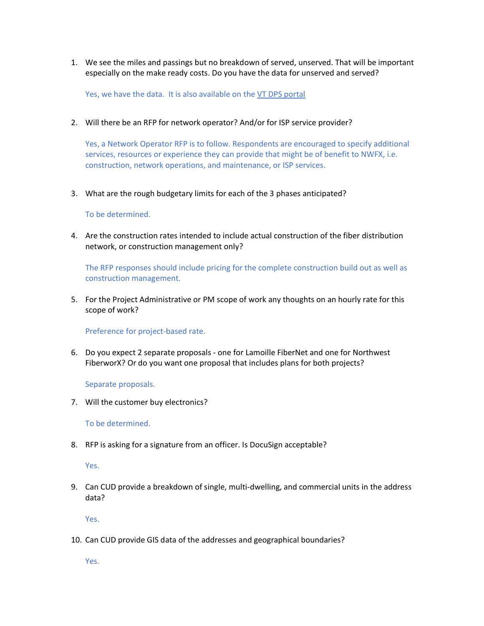1. We see the miles and passings but no breakdown of served, unserved. That will be important especially on the make ready costs. Do you have the data for unserved and served?

Yes, we have the data. It is also available on th[e VT DPS portal](https://nwfiberworx.us14.list-manage.com/subscribe?u=8ade46ff6168e59090e289323&id=aadc538852&fbclid=IwAR14zk65s588-u6ETTa-_yT43mlv7U5Ql1CYyX91iShZNjwN6AnpZTjkuCE)

2. Will there be an RFP for network operator? And/or for ISP service provider?

Yes, a Network Operator RFP is to follow. Respondents are encouraged to specify additional services, resources or experience they can provide that might be of benefit to NWFX, i.e. construction, network operations, and maintenance, or ISP services.

3. What are the rough budgetary limits for each of the 3 phases anticipated?

To be determined.

4. Are the construction rates intended to include actual construction of the fiber distribution network, or construction management only?

The RFP responses should include pricing for the complete construction build out as well as construction management.

5. For the Project Administrative or PM scope of work any thoughts on an hourly rate for this scope of work?

Preference for project-based rate.

6. Do you expect 2 separate proposals - one for Lamoille FiberNet and one for Northwest FiberworX? Or do you want one proposal that includes plans for both projects?

Separate proposals.

7. Will the customer buy electronics?

To be determined.

8. RFP is asking for a signature from an officer. Is DocuSign acceptable?

Yes.

9. Can CUD provide a breakdown of single, multi-dwelling, and commercial units in the address data?

Yes.

10. Can CUD provide GIS data of the addresses and geographical boundaries?

Yes.